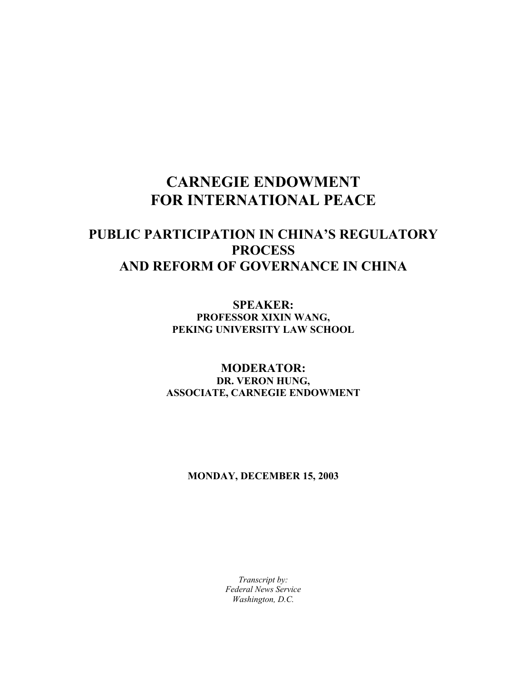# **CARNEGIE ENDOWMENT FOR INTERNATIONAL PEACE**

## **PUBLIC PARTICIPATION IN CHINA'S REGULATORY PROCESS AND REFORM OF GOVERNANCE IN CHINA**

**SPEAKER: PROFESSOR XIXIN WANG, PEKING UNIVERSITY LAW SCHOOL** 

### **MODERATOR: DR. VERON HUNG, ASSOCIATE, CARNEGIE ENDOWMENT**

#### **MONDAY, DECEMBER 15, 2003**

*Transcript by: Federal News Service Washington, D.C.*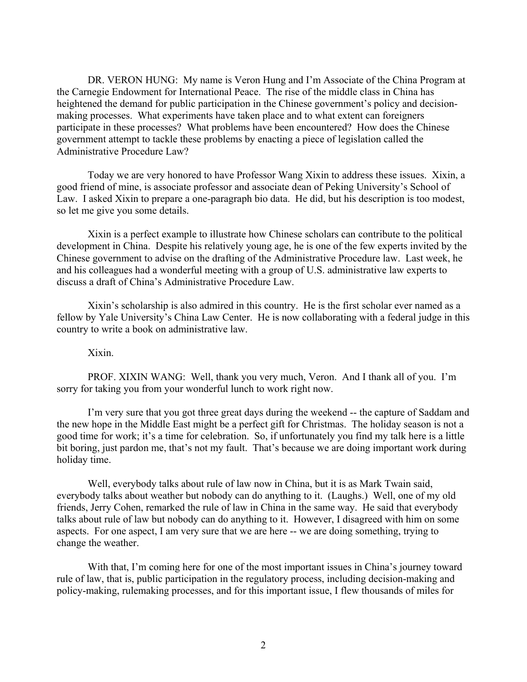DR. VERON HUNG: My name is Veron Hung and I'm Associate of the China Program at the Carnegie Endowment for International Peace. The rise of the middle class in China has heightened the demand for public participation in the Chinese government's policy and decisionmaking processes. What experiments have taken place and to what extent can foreigners participate in these processes? What problems have been encountered? How does the Chinese government attempt to tackle these problems by enacting a piece of legislation called the Administrative Procedure Law?

 Today we are very honored to have Professor Wang Xixin to address these issues. Xixin, a good friend of mine, is associate professor and associate dean of Peking University's School of Law. I asked Xixin to prepare a one-paragraph bio data. He did, but his description is too modest, so let me give you some details.

 Xixin is a perfect example to illustrate how Chinese scholars can contribute to the political development in China. Despite his relatively young age, he is one of the few experts invited by the Chinese government to advise on the drafting of the Administrative Procedure law. Last week, he and his colleagues had a wonderful meeting with a group of U.S. administrative law experts to discuss a draft of China's Administrative Procedure Law.

 Xixin's scholarship is also admired in this country. He is the first scholar ever named as a fellow by Yale University's China Law Center. He is now collaborating with a federal judge in this country to write a book on administrative law.

#### Xixin.

 PROF. XIXIN WANG: Well, thank you very much, Veron. And I thank all of you. I'm sorry for taking you from your wonderful lunch to work right now.

 I'm very sure that you got three great days during the weekend -- the capture of Saddam and the new hope in the Middle East might be a perfect gift for Christmas. The holiday season is not a good time for work; it's a time for celebration. So, if unfortunately you find my talk here is a little bit boring, just pardon me, that's not my fault. That's because we are doing important work during holiday time.

Well, everybody talks about rule of law now in China, but it is as Mark Twain said, everybody talks about weather but nobody can do anything to it. (Laughs.) Well, one of my old friends, Jerry Cohen, remarked the rule of law in China in the same way. He said that everybody talks about rule of law but nobody can do anything to it. However, I disagreed with him on some aspects. For one aspect, I am very sure that we are here -- we are doing something, trying to change the weather.

With that, I'm coming here for one of the most important issues in China's journey toward rule of law, that is, public participation in the regulatory process, including decision-making and policy-making, rulemaking processes, and for this important issue, I flew thousands of miles for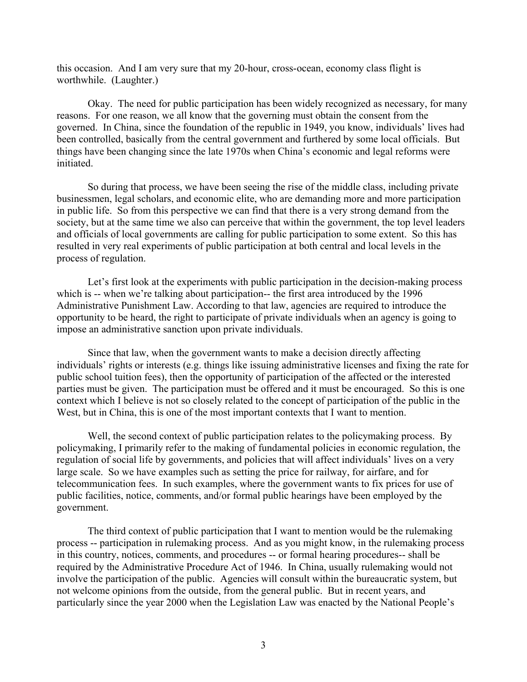this occasion. And I am very sure that my 20-hour, cross-ocean, economy class flight is worthwhile. (Laughter.)

 Okay. The need for public participation has been widely recognized as necessary, for many reasons. For one reason, we all know that the governing must obtain the consent from the governed. In China, since the foundation of the republic in 1949, you know, individuals' lives had been controlled, basically from the central government and furthered by some local officials. But things have been changing since the late 1970s when China's economic and legal reforms were initiated.

So during that process, we have been seeing the rise of the middle class, including private businessmen, legal scholars, and economic elite, who are demanding more and more participation in public life. So from this perspective we can find that there is a very strong demand from the society, but at the same time we also can perceive that within the government, the top level leaders and officials of local governments are calling for public participation to some extent. So this has resulted in very real experiments of public participation at both central and local levels in the process of regulation.

Let's first look at the experiments with public participation in the decision-making process which is -- when we're talking about participation-- the first area introduced by the 1996 Administrative Punishment Law. According to that law, agencies are required to introduce the opportunity to be heard, the right to participate of private individuals when an agency is going to impose an administrative sanction upon private individuals.

 Since that law, when the government wants to make a decision directly affecting individuals' rights or interests (e.g. things like issuing administrative licenses and fixing the rate for public school tuition fees), then the opportunity of participation of the affected or the interested parties must be given. The participation must be offered and it must be encouraged. So this is one context which I believe is not so closely related to the concept of participation of the public in the West, but in China, this is one of the most important contexts that I want to mention.

 Well, the second context of public participation relates to the policymaking process. By policymaking, I primarily refer to the making of fundamental policies in economic regulation, the regulation of social life by governments, and policies that will affect individuals' lives on a very large scale. So we have examples such as setting the price for railway, for airfare, and for telecommunication fees. In such examples, where the government wants to fix prices for use of public facilities, notice, comments, and/or formal public hearings have been employed by the government.

 The third context of public participation that I want to mention would be the rulemaking process -- participation in rulemaking process. And as you might know, in the rulemaking process in this country, notices, comments, and procedures -- or formal hearing procedures-- shall be required by the Administrative Procedure Act of 1946. In China, usually rulemaking would not involve the participation of the public. Agencies will consult within the bureaucratic system, but not welcome opinions from the outside, from the general public. But in recent years, and particularly since the year 2000 when the Legislation Law was enacted by the National People's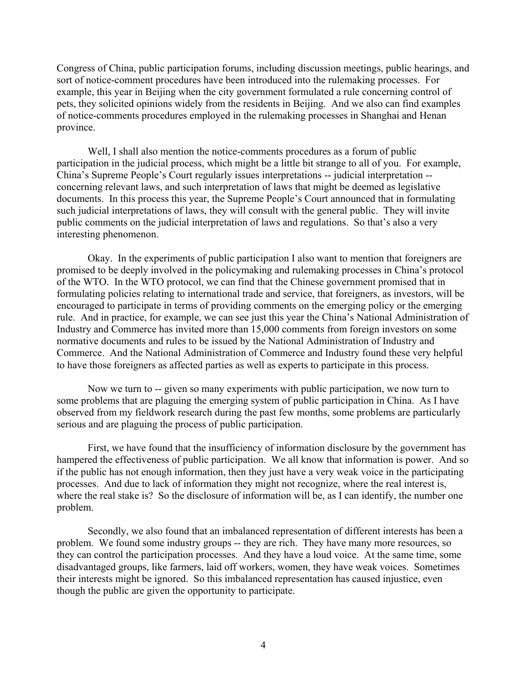Congress of China, public participation forums, including discussion meetings, public hearings, and sort of notice-comment procedures have been introduced into the rulemaking processes. For example, this year in Beijing when the city government formulated a rule concerning control of pets, they solicited opinions widely from the residents in Beijing. And we also can find examples of notice-comments procedures employed in the rulemaking processes in Shanghai and Henan province.

 Well, I shall also mention the notice-comments procedures as a forum of public participation in the judicial process, which might be a little bit strange to all of you. For example, China's Supreme People's Court regularly issues interpretations -- judicial interpretation - concerning relevant laws, and such interpretation of laws that might be deemed as legislative documents. In this process this year, the Supreme People's Court announced that in formulating such judicial interpretations of laws, they will consult with the general public. They will invite public comments on the judicial interpretation of laws and regulations. So that's also a very interesting phenomenon.

Okay. In the experiments of public participation I also want to mention that foreigners are promised to be deeply involved in the policymaking and rulemaking processes in China's protocol of the WTO. In the WTO protocol, we can find that the Chinese government promised that in formulating policies relating to international trade and service, that foreigners, as investors, will be encouraged to participate in terms of providing comments on the emerging policy or the emerging rule. And in practice, for example, we can see just this year the China's National Administration of Industry and Commerce has invited more than 15,000 comments from foreign investors on some normative documents and rules to be issued by the National Administration of Industry and Commerce. And the National Administration of Commerce and Industry found these very helpful to have those foreigners as affected parties as well as experts to participate in this process.

 Now we turn to -- given so many experiments with public participation, we now turn to some problems that are plaguing the emerging system of public participation in China. As I have observed from my fieldwork research during the past few months, some problems are particularly serious and are plaguing the process of public participation.

First, we have found that the insufficiency of information disclosure by the government has hampered the effectiveness of public participation. We all know that information is power. And so if the public has not enough information, then they just have a very weak voice in the participating processes. And due to lack of information they might not recognize, where the real interest is, where the real stake is? So the disclosure of information will be, as I can identify, the number one problem.

Secondly, we also found that an imbalanced representation of different interests has been a problem. We found some industry groups -- they are rich. They have many more resources, so they can control the participation processes. And they have a loud voice. At the same time, some disadvantaged groups, like farmers, laid off workers, women, they have weak voices. Sometimes their interests might be ignored. So this imbalanced representation has caused injustice, even though the public are given the opportunity to participate.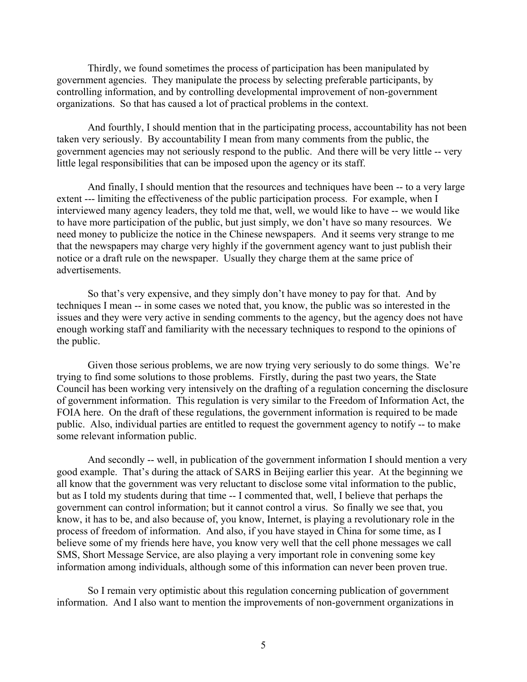Thirdly, we found sometimes the process of participation has been manipulated by government agencies. They manipulate the process by selecting preferable participants, by controlling information, and by controlling developmental improvement of non-government organizations. So that has caused a lot of practical problems in the context.

And fourthly, I should mention that in the participating process, accountability has not been taken very seriously. By accountability I mean from many comments from the public, the government agencies may not seriously respond to the public. And there will be very little -- very little legal responsibilities that can be imposed upon the agency or its staff.

 And finally, I should mention that the resources and techniques have been -- to a very large extent --- limiting the effectiveness of the public participation process. For example, when I interviewed many agency leaders, they told me that, well, we would like to have -- we would like to have more participation of the public, but just simply, we don't have so many resources. We need money to publicize the notice in the Chinese newspapers. And it seems very strange to me that the newspapers may charge very highly if the government agency want to just publish their notice or a draft rule on the newspaper. Usually they charge them at the same price of advertisements.

 So that's very expensive, and they simply don't have money to pay for that. And by techniques I mean -- in some cases we noted that, you know, the public was so interested in the issues and they were very active in sending comments to the agency, but the agency does not have enough working staff and familiarity with the necessary techniques to respond to the opinions of the public.

Given those serious problems, we are now trying very seriously to do some things. We're trying to find some solutions to those problems. Firstly, during the past two years, the State Council has been working very intensively on the drafting of a regulation concerning the disclosure of government information. This regulation is very similar to the Freedom of Information Act, the FOIA here. On the draft of these regulations, the government information is required to be made public. Also, individual parties are entitled to request the government agency to notify -- to make some relevant information public.

And secondly -- well, in publication of the government information I should mention a very good example. That's during the attack of SARS in Beijing earlier this year. At the beginning we all know that the government was very reluctant to disclose some vital information to the public, but as I told my students during that time -- I commented that, well, I believe that perhaps the government can control information; but it cannot control a virus. So finally we see that, you know, it has to be, and also because of, you know, Internet, is playing a revolutionary role in the process of freedom of information. And also, if you have stayed in China for some time, as I believe some of my friends here have, you know very well that the cell phone messages we call SMS, Short Message Service, are also playing a very important role in convening some key information among individuals, although some of this information can never been proven true.

 So I remain very optimistic about this regulation concerning publication of government information. And I also want to mention the improvements of non-government organizations in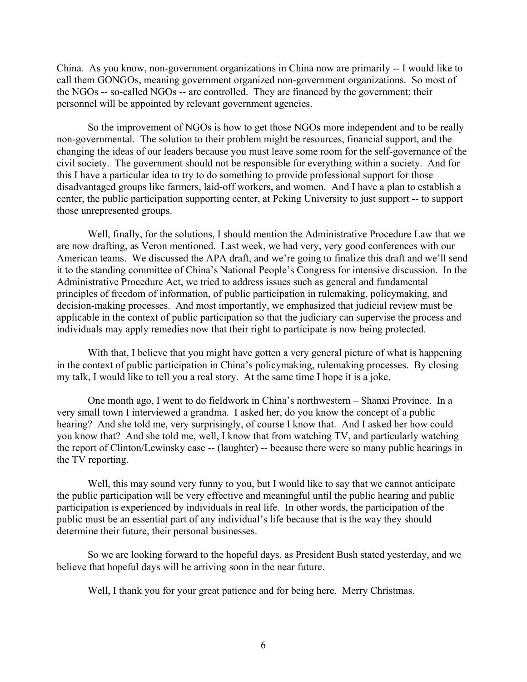China. As you know, non-government organizations in China now are primarily -- I would like to call them GONGOs, meaning government organized non-government organizations. So most of the NGOs -- so-called NGOs -- are controlled. They are financed by the government; their personnel will be appointed by relevant government agencies.

 So the improvement of NGOs is how to get those NGOs more independent and to be really non-governmental. The solution to their problem might be resources, financial support, and the changing the ideas of our leaders because you must leave some room for the self-governance of the civil society. The government should not be responsible for everything within a society. And for this I have a particular idea to try to do something to provide professional support for those disadvantaged groups like farmers, laid-off workers, and women. And I have a plan to establish a center, the public participation supporting center, at Peking University to just support -- to support those unrepresented groups.

 Well, finally, for the solutions, I should mention the Administrative Procedure Law that we are now drafting, as Veron mentioned. Last week, we had very, very good conferences with our American teams. We discussed the APA draft, and we're going to finalize this draft and we'll send it to the standing committee of China's National People's Congress for intensive discussion. In the Administrative Procedure Act, we tried to address issues such as general and fundamental principles of freedom of information, of public participation in rulemaking, policymaking, and decision-making processes. And most importantly, we emphasized that judicial review must be applicable in the context of public participation so that the judiciary can supervise the process and individuals may apply remedies now that their right to participate is now being protected.

With that, I believe that you might have gotten a very general picture of what is happening in the context of public participation in China's policymaking, rulemaking processes. By closing my talk, I would like to tell you a real story. At the same time I hope it is a joke.

 One month ago, I went to do fieldwork in China's northwestern – Shanxi Province. In a very small town I interviewed a grandma. I asked her, do you know the concept of a public hearing? And she told me, very surprisingly, of course I know that. And I asked her how could you know that? And she told me, well, I know that from watching TV, and particularly watching the report of Clinton/Lewinsky case -- (laughter) -- because there were so many public hearings in the TV reporting.

Well, this may sound very funny to you, but I would like to say that we cannot anticipate the public participation will be very effective and meaningful until the public hearing and public participation is experienced by individuals in real life. In other words, the participation of the public must be an essential part of any individual's life because that is the way they should determine their future, their personal businesses.

 So we are looking forward to the hopeful days, as President Bush stated yesterday, and we believe that hopeful days will be arriving soon in the near future.

Well, I thank you for your great patience and for being here. Merry Christmas.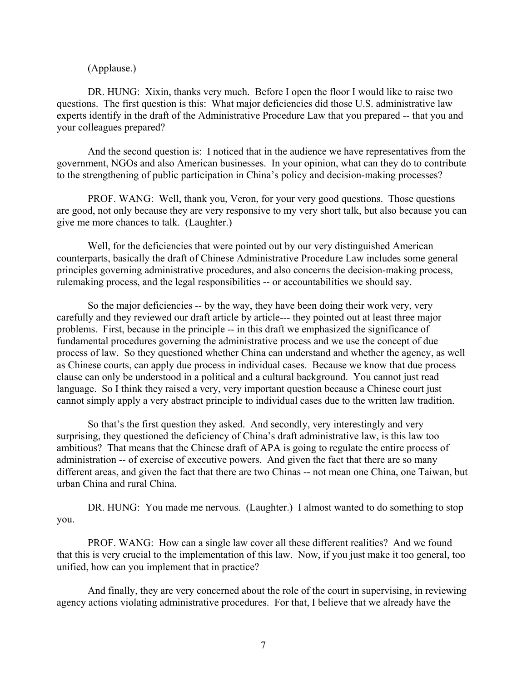(Applause.)

 DR. HUNG: Xixin, thanks very much. Before I open the floor I would like to raise two questions. The first question is this: What major deficiencies did those U.S. administrative law experts identify in the draft of the Administrative Procedure Law that you prepared -- that you and your colleagues prepared?

 And the second question is: I noticed that in the audience we have representatives from the government, NGOs and also American businesses. In your opinion, what can they do to contribute to the strengthening of public participation in China's policy and decision-making processes?

 PROF. WANG: Well, thank you, Veron, for your very good questions. Those questions are good, not only because they are very responsive to my very short talk, but also because you can give me more chances to talk. (Laughter.)

 Well, for the deficiencies that were pointed out by our very distinguished American counterparts, basically the draft of Chinese Administrative Procedure Law includes some general principles governing administrative procedures, and also concerns the decision-making process, rulemaking process, and the legal responsibilities -- or accountabilities we should say.

 So the major deficiencies -- by the way, they have been doing their work very, very carefully and they reviewed our draft article by article--- they pointed out at least three major problems. First, because in the principle -- in this draft we emphasized the significance of fundamental procedures governing the administrative process and we use the concept of due process of law. So they questioned whether China can understand and whether the agency, as well as Chinese courts, can apply due process in individual cases. Because we know that due process clause can only be understood in a political and a cultural background. You cannot just read language. So I think they raised a very, very important question because a Chinese court just cannot simply apply a very abstract principle to individual cases due to the written law tradition.

So that's the first question they asked. And secondly, very interestingly and very surprising, they questioned the deficiency of China's draft administrative law, is this law too ambitious? That means that the Chinese draft of APA is going to regulate the entire process of administration -- of exercise of executive powers. And given the fact that there are so many different areas, and given the fact that there are two Chinas -- not mean one China, one Taiwan, but urban China and rural China.

 DR. HUNG: You made me nervous. (Laughter.) I almost wanted to do something to stop you.

 PROF. WANG: How can a single law cover all these different realities? And we found that this is very crucial to the implementation of this law. Now, if you just make it too general, too unified, how can you implement that in practice?

And finally, they are very concerned about the role of the court in supervising, in reviewing agency actions violating administrative procedures. For that, I believe that we already have the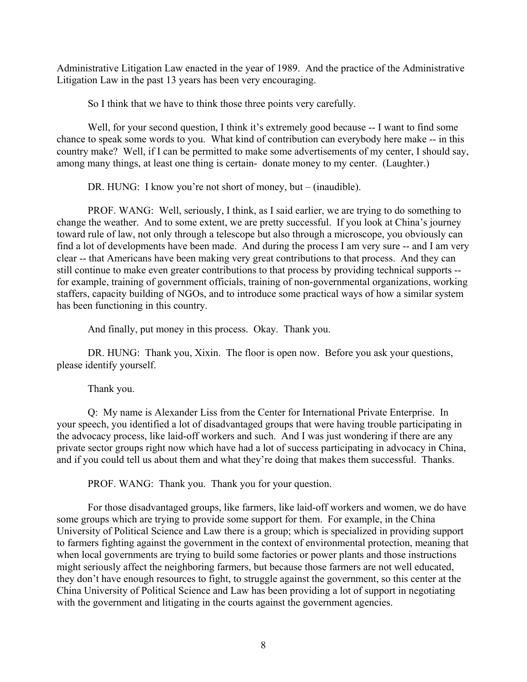Administrative Litigation Law enacted in the year of 1989. And the practice of the Administrative Litigation Law in the past 13 years has been very encouraging.

So I think that we have to think those three points very carefully.

 Well, for your second question, I think it's extremely good because -- I want to find some chance to speak some words to you. What kind of contribution can everybody here make -- in this country make? Well, if I can be permitted to make some advertisements of my center, I should say, among many things, at least one thing is certain- donate money to my center. (Laughter.)

DR. HUNG: I know you're not short of money, but – (inaudible).

 PROF. WANG: Well, seriously, I think, as I said earlier, we are trying to do something to change the weather. And to some extent, we are pretty successful. If you look at China's journey toward rule of law, not only through a telescope but also through a microscope, you obviously can find a lot of developments have been made. And during the process I am very sure -- and I am very clear -- that Americans have been making very great contributions to that process. And they can still continue to make even greater contributions to that process by providing technical supports - for example, training of government officials, training of non-governmental organizations, working staffers, capacity building of NGOs, and to introduce some practical ways of how a similar system has been functioning in this country.

And finally, put money in this process. Okay. Thank you.

DR. HUNG: Thank you, Xixin. The floor is open now. Before you ask your questions, please identify yourself.

Thank you.

 Q: My name is Alexander Liss from the Center for International Private Enterprise. In your speech, you identified a lot of disadvantaged groups that were having trouble participating in the advocacy process, like laid-off workers and such. And I was just wondering if there are any private sector groups right now which have had a lot of success participating in advocacy in China, and if you could tell us about them and what they're doing that makes them successful. Thanks.

PROF. WANG: Thank you. Thank you for your question.

 For those disadvantaged groups, like farmers, like laid-off workers and women, we do have some groups which are trying to provide some support for them. For example, in the China University of Political Science and Law there is a group; which is specialized in providing support to farmers fighting against the government in the context of environmental protection, meaning that when local governments are trying to build some factories or power plants and those instructions might seriously affect the neighboring farmers, but because those farmers are not well educated, they don't have enough resources to fight, to struggle against the government, so this center at the China University of Political Science and Law has been providing a lot of support in negotiating with the government and litigating in the courts against the government agencies.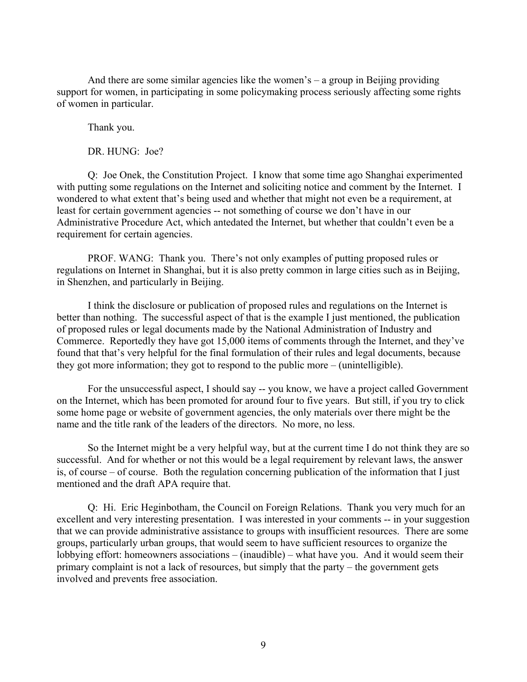And there are some similar agencies like the women's – a group in Beijing providing support for women, in participating in some policymaking process seriously affecting some rights of women in particular.

Thank you.

DR. HUNG: Joe?

Q: Joe Onek, the Constitution Project. I know that some time ago Shanghai experimented with putting some regulations on the Internet and soliciting notice and comment by the Internet. I wondered to what extent that's being used and whether that might not even be a requirement, at least for certain government agencies -- not something of course we don't have in our Administrative Procedure Act, which antedated the Internet, but whether that couldn't even be a requirement for certain agencies.

 PROF. WANG: Thank you. There's not only examples of putting proposed rules or regulations on Internet in Shanghai, but it is also pretty common in large cities such as in Beijing, in Shenzhen, and particularly in Beijing.

I think the disclosure or publication of proposed rules and regulations on the Internet is better than nothing. The successful aspect of that is the example I just mentioned, the publication of proposed rules or legal documents made by the National Administration of Industry and Commerce. Reportedly they have got 15,000 items of comments through the Internet, and they've found that that's very helpful for the final formulation of their rules and legal documents, because they got more information; they got to respond to the public more – (unintelligible).

For the unsuccessful aspect, I should say -- you know, we have a project called Government on the Internet, which has been promoted for around four to five years. But still, if you try to click some home page or website of government agencies, the only materials over there might be the name and the title rank of the leaders of the directors. No more, no less.

 So the Internet might be a very helpful way, but at the current time I do not think they are so successful. And for whether or not this would be a legal requirement by relevant laws, the answer is, of course – of course. Both the regulation concerning publication of the information that I just mentioned and the draft APA require that.

 Q: Hi. Eric Heginbotham, the Council on Foreign Relations. Thank you very much for an excellent and very interesting presentation. I was interested in your comments -- in your suggestion that we can provide administrative assistance to groups with insufficient resources. There are some groups, particularly urban groups, that would seem to have sufficient resources to organize the lobbying effort: homeowners associations – (inaudible) – what have you. And it would seem their primary complaint is not a lack of resources, but simply that the party – the government gets involved and prevents free association.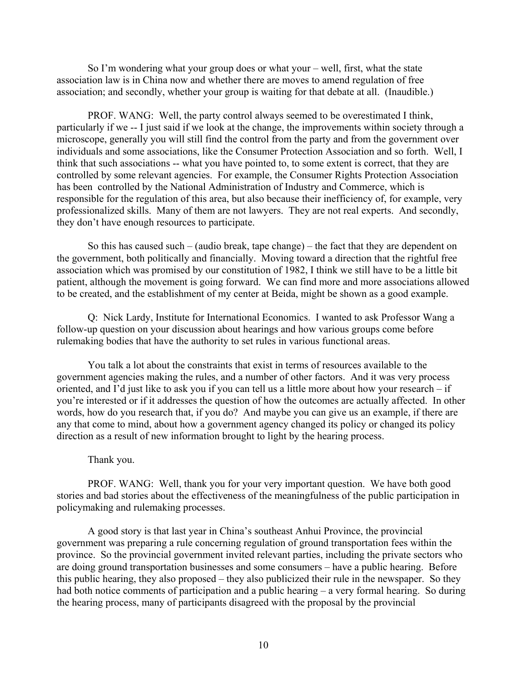So I'm wondering what your group does or what your – well, first, what the state association law is in China now and whether there are moves to amend regulation of free association; and secondly, whether your group is waiting for that debate at all. (Inaudible.)

 PROF. WANG: Well, the party control always seemed to be overestimated I think, particularly if we -- I just said if we look at the change, the improvements within society through a microscope, generally you will still find the control from the party and from the government over individuals and some associations, like the Consumer Protection Association and so forth. Well, I think that such associations -- what you have pointed to, to some extent is correct, that they are controlled by some relevant agencies. For example, the Consumer Rights Protection Association has been controlled by the National Administration of Industry and Commerce, which is responsible for the regulation of this area, but also because their inefficiency of, for example, very professionalized skills. Many of them are not lawyers. They are not real experts. And secondly, they don't have enough resources to participate.

 So this has caused such – (audio break, tape change) – the fact that they are dependent on the government, both politically and financially. Moving toward a direction that the rightful free association which was promised by our constitution of 1982, I think we still have to be a little bit patient, although the movement is going forward. We can find more and more associations allowed to be created, and the establishment of my center at Beida, might be shown as a good example.

Q: Nick Lardy, Institute for International Economics. I wanted to ask Professor Wang a follow-up question on your discussion about hearings and how various groups come before rulemaking bodies that have the authority to set rules in various functional areas.

You talk a lot about the constraints that exist in terms of resources available to the government agencies making the rules, and a number of other factors. And it was very process oriented, and I'd just like to ask you if you can tell us a little more about how your research – if you're interested or if it addresses the question of how the outcomes are actually affected. In other words, how do you research that, if you do? And maybe you can give us an example, if there are any that come to mind, about how a government agency changed its policy or changed its policy direction as a result of new information brought to light by the hearing process.

#### Thank you.

 PROF. WANG: Well, thank you for your very important question. We have both good stories and bad stories about the effectiveness of the meaningfulness of the public participation in policymaking and rulemaking processes.

A good story is that last year in China's southeast Anhui Province, the provincial government was preparing a rule concerning regulation of ground transportation fees within the province. So the provincial government invited relevant parties, including the private sectors who are doing ground transportation businesses and some consumers – have a public hearing. Before this public hearing, they also proposed – they also publicized their rule in the newspaper. So they had both notice comments of participation and a public hearing – a very formal hearing. So during the hearing process, many of participants disagreed with the proposal by the provincial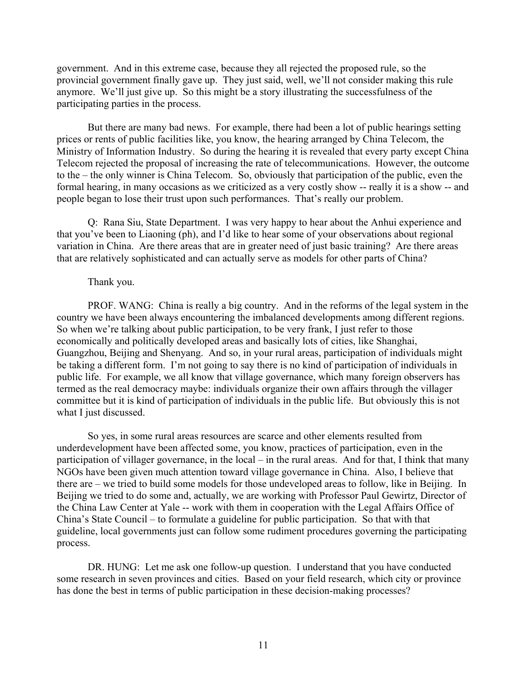government. And in this extreme case, because they all rejected the proposed rule, so the provincial government finally gave up. They just said, well, we'll not consider making this rule anymore. We'll just give up. So this might be a story illustrating the successfulness of the participating parties in the process.

 But there are many bad news. For example, there had been a lot of public hearings setting prices or rents of public facilities like, you know, the hearing arranged by China Telecom, the Ministry of Information Industry. So during the hearing it is revealed that every party except China Telecom rejected the proposal of increasing the rate of telecommunications. However, the outcome to the – the only winner is China Telecom. So, obviously that participation of the public, even the formal hearing, in many occasions as we criticized as a very costly show -- really it is a show -- and people began to lose their trust upon such performances. That's really our problem.

 Q: Rana Siu, State Department. I was very happy to hear about the Anhui experience and that you've been to Liaoning (ph), and I'd like to hear some of your observations about regional variation in China. Are there areas that are in greater need of just basic training? Are there areas that are relatively sophisticated and can actually serve as models for other parts of China?

#### Thank you.

 PROF. WANG: China is really a big country. And in the reforms of the legal system in the country we have been always encountering the imbalanced developments among different regions. So when we're talking about public participation, to be very frank, I just refer to those economically and politically developed areas and basically lots of cities, like Shanghai, Guangzhou, Beijing and Shenyang. And so, in your rural areas, participation of individuals might be taking a different form. I'm not going to say there is no kind of participation of individuals in public life. For example, we all know that village governance, which many foreign observers has termed as the real democracy maybe: individuals organize their own affairs through the villager committee but it is kind of participation of individuals in the public life. But obviously this is not what I just discussed.

So yes, in some rural areas resources are scarce and other elements resulted from underdevelopment have been affected some, you know, practices of participation, even in the participation of villager governance, in the local – in the rural areas. And for that, I think that many NGOs have been given much attention toward village governance in China. Also, I believe that there are – we tried to build some models for those undeveloped areas to follow, like in Beijing. In Beijing we tried to do some and, actually, we are working with Professor Paul Gewirtz, Director of the China Law Center at Yale -- work with them in cooperation with the Legal Affairs Office of China's State Council – to formulate a guideline for public participation. So that with that guideline, local governments just can follow some rudiment procedures governing the participating process.

 DR. HUNG: Let me ask one follow-up question. I understand that you have conducted some research in seven provinces and cities. Based on your field research, which city or province has done the best in terms of public participation in these decision-making processes?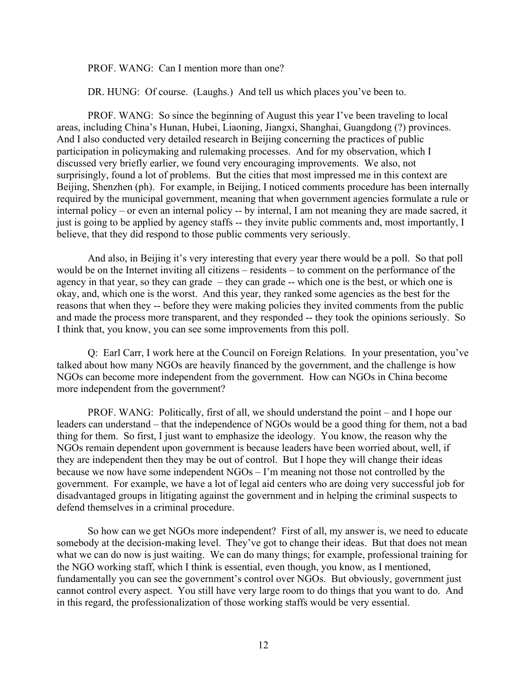PROF. WANG: Can I mention more than one?

DR. HUNG: Of course. (Laughs.) And tell us which places you've been to.

 PROF. WANG: So since the beginning of August this year I've been traveling to local areas, including China's Hunan, Hubei, Liaoning, Jiangxi, Shanghai, Guangdong (?) provinces. And I also conducted very detailed research in Beijing concerning the practices of public participation in policymaking and rulemaking processes. And for my observation, which I discussed very briefly earlier, we found very encouraging improvements. We also, not surprisingly, found a lot of problems. But the cities that most impressed me in this context are Beijing, Shenzhen (ph). For example, in Beijing, I noticed comments procedure has been internally required by the municipal government, meaning that when government agencies formulate a rule or internal policy – or even an internal policy -- by internal, I am not meaning they are made sacred, it just is going to be applied by agency staffs -- they invite public comments and, most importantly, I believe, that they did respond to those public comments very seriously.

And also, in Beijing it's very interesting that every year there would be a poll. So that poll would be on the Internet inviting all citizens – residents – to comment on the performance of the agency in that year, so they can grade – they can grade -- which one is the best, or which one is okay, and, which one is the worst. And this year, they ranked some agencies as the best for the reasons that when they -- before they were making policies they invited comments from the public and made the process more transparent, and they responded -- they took the opinions seriously. So I think that, you know, you can see some improvements from this poll.

 Q: Earl Carr, I work here at the Council on Foreign Relations. In your presentation, you've talked about how many NGOs are heavily financed by the government, and the challenge is how NGOs can become more independent from the government. How can NGOs in China become more independent from the government?

 PROF. WANG: Politically, first of all, we should understand the point – and I hope our leaders can understand – that the independence of NGOs would be a good thing for them, not a bad thing for them. So first, I just want to emphasize the ideology. You know, the reason why the NGOs remain dependent upon government is because leaders have been worried about, well, if they are independent then they may be out of control. But I hope they will change their ideas because we now have some independent NGOs – I'm meaning not those not controlled by the government. For example, we have a lot of legal aid centers who are doing very successful job for disadvantaged groups in litigating against the government and in helping the criminal suspects to defend themselves in a criminal procedure.

So how can we get NGOs more independent? First of all, my answer is, we need to educate somebody at the decision-making level. They've got to change their ideas. But that does not mean what we can do now is just waiting. We can do many things; for example, professional training for the NGO working staff, which I think is essential, even though, you know, as I mentioned, fundamentally you can see the government's control over NGOs. But obviously, government just cannot control every aspect. You still have very large room to do things that you want to do. And in this regard, the professionalization of those working staffs would be very essential.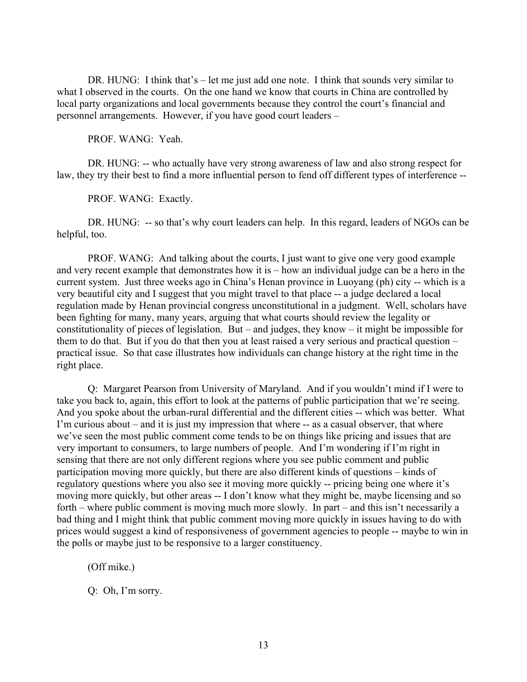DR. HUNG: I think that's – let me just add one note. I think that sounds very similar to what I observed in the courts. On the one hand we know that courts in China are controlled by local party organizations and local governments because they control the court's financial and personnel arrangements. However, if you have good court leaders –

PROF. WANG: Yeah.

DR. HUNG: -- who actually have very strong awareness of law and also strong respect for law, they try their best to find a more influential person to fend off different types of interference --

PROF. WANG: Exactly.

DR. HUNG: -- so that's why court leaders can help. In this regard, leaders of NGOs can be helpful, too.

PROF. WANG: And talking about the courts, I just want to give one very good example and very recent example that demonstrates how it is – how an individual judge can be a hero in the current system. Just three weeks ago in China's Henan province in Luoyang (ph) city -- which is a very beautiful city and I suggest that you might travel to that place -- a judge declared a local regulation made by Henan provincial congress unconstitutional in a judgment. Well, scholars have been fighting for many, many years, arguing that what courts should review the legality or constitutionality of pieces of legislation. But – and judges, they know – it might be impossible for them to do that. But if you do that then you at least raised a very serious and practical question – practical issue. So that case illustrates how individuals can change history at the right time in the right place.

Q: Margaret Pearson from University of Maryland. And if you wouldn't mind if I were to take you back to, again, this effort to look at the patterns of public participation that we're seeing. And you spoke about the urban-rural differential and the different cities -- which was better. What I'm curious about – and it is just my impression that where -- as a casual observer, that where we've seen the most public comment come tends to be on things like pricing and issues that are very important to consumers, to large numbers of people. And I'm wondering if I'm right in sensing that there are not only different regions where you see public comment and public participation moving more quickly, but there are also different kinds of questions – kinds of regulatory questions where you also see it moving more quickly -- pricing being one where it's moving more quickly, but other areas -- I don't know what they might be, maybe licensing and so forth – where public comment is moving much more slowly. In part – and this isn't necessarily a bad thing and I might think that public comment moving more quickly in issues having to do with prices would suggest a kind of responsiveness of government agencies to people -- maybe to win in the polls or maybe just to be responsive to a larger constituency.

(Off mike.)

Q: Oh, I'm sorry.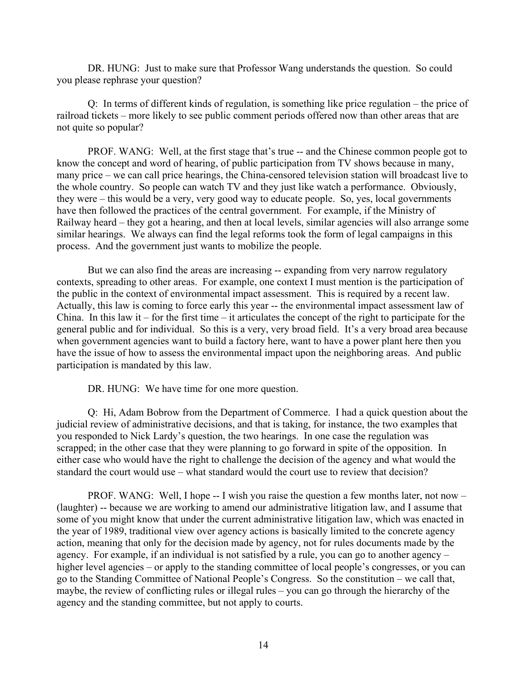DR. HUNG: Just to make sure that Professor Wang understands the question. So could you please rephrase your question?

Q: In terms of different kinds of regulation, is something like price regulation – the price of railroad tickets – more likely to see public comment periods offered now than other areas that are not quite so popular?

PROF. WANG: Well, at the first stage that's true -- and the Chinese common people got to know the concept and word of hearing, of public participation from TV shows because in many, many price – we can call price hearings, the China-censored television station will broadcast live to the whole country. So people can watch TV and they just like watch a performance. Obviously, they were – this would be a very, very good way to educate people. So, yes, local governments have then followed the practices of the central government. For example, if the Ministry of Railway heard – they got a hearing, and then at local levels, similar agencies will also arrange some similar hearings. We always can find the legal reforms took the form of legal campaigns in this process. And the government just wants to mobilize the people.

But we can also find the areas are increasing -- expanding from very narrow regulatory contexts, spreading to other areas. For example, one context I must mention is the participation of the public in the context of environmental impact assessment. This is required by a recent law. Actually, this law is coming to force early this year -- the environmental impact assessment law of China. In this law it – for the first time – it articulates the concept of the right to participate for the general public and for individual. So this is a very, very broad field. It's a very broad area because when government agencies want to build a factory here, want to have a power plant here then you have the issue of how to assess the environmental impact upon the neighboring areas. And public participation is mandated by this law.

DR. HUNG: We have time for one more question.

Q: Hi, Adam Bobrow from the Department of Commerce. I had a quick question about the judicial review of administrative decisions, and that is taking, for instance, the two examples that you responded to Nick Lardy's question, the two hearings. In one case the regulation was scrapped; in the other case that they were planning to go forward in spite of the opposition. In either case who would have the right to challenge the decision of the agency and what would the standard the court would use – what standard would the court use to review that decision?

PROF. WANG: Well, I hope -- I wish you raise the question a few months later, not now – (laughter) -- because we are working to amend our administrative litigation law, and I assume that some of you might know that under the current administrative litigation law, which was enacted in the year of 1989, traditional view over agency actions is basically limited to the concrete agency action, meaning that only for the decision made by agency, not for rules documents made by the agency. For example, if an individual is not satisfied by a rule, you can go to another agency – higher level agencies – or apply to the standing committee of local people's congresses, or you can go to the Standing Committee of National People's Congress. So the constitution – we call that, maybe, the review of conflicting rules or illegal rules – you can go through the hierarchy of the agency and the standing committee, but not apply to courts.